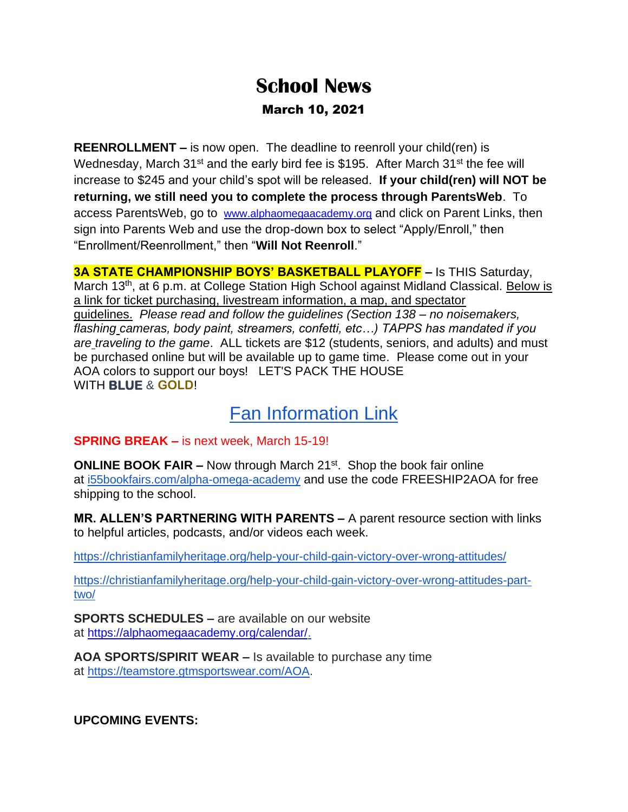## **School News** March 10, 2021

**REENROLLMENT –** is now open. The deadline to reenroll your child(ren) is Wednesday, March  $31^{st}$  and the early bird fee is \$195. After March  $31^{st}$  the fee will increase to \$245 and your child's spot will be released. **If your child(ren) will NOT be returning, we still need you to complete the process through ParentsWeb**. To access ParentsWeb, go to [www.alphaomegaacademy.org](https://www.alphaomegaacademy.org/) and click on Parent Links, then sign into Parents Web and use the drop-down box to select "Apply/Enroll," then "Enrollment/Reenrollment," then "**Will Not Reenroll**."

**3A STATE CHAMPIONSHIP BOYS' BASKETBALL PLAYOFF –** Is THIS Saturday, March 13<sup>th</sup>, at 6 p.m. at College Station High School against Midland Classical. Below is a link for ticket purchasing, livestream information, a map, and spectator guidelines. *Please read and follow the guidelines (Section 138 – no noisemakers, flashing cameras, body paint, streamers, confetti, etc…) TAPPS has mandated if you are traveling to the game*. ALL tickets are \$12 (students, seniors, and adults) and must be purchased online but will be available up to game time. Please come out in your AOA colors to support our boys! LET'S PACK THE HOUSE WITH **BLUE** & **GOLD**!

## **[Fan Information Link](https://tapps.biz/2021-basketball-fan-information-page/)**

**SPRING BREAK –** is next week, March 15-19!

**ONLINE BOOK FAIR –** Now through March 21<sup>st</sup>. Shop the book fair online at [i55bookfairs.com/alpha-omega-academy](http://i55bookfairs.com/alpha-omega-academy) and use the code FREESHIP2AOA for free shipping to the school.

**MR. ALLEN'S PARTNERING WITH PARENTS –** A parent resource section with links to helpful articles, podcasts, and/or videos each week.

<https://christianfamilyheritage.org/help-your-child-gain-victory-over-wrong-attitudes/>

[https://christianfamilyheritage.org/help-your-child-gain-victory-over-wrong-attitudes-part](https://christianfamilyheritage.org/help-your-child-gain-victory-over-wrong-attitudes-part-two/)[two/](https://christianfamilyheritage.org/help-your-child-gain-victory-over-wrong-attitudes-part-two/)

**SPORTS SCHEDULES –** are available on our website at [https://alphaomegaacademy.org/calendar/.](https://alphaomegaacademy.org/calendar/)

**AOA SPORTS/SPIRIT WEAR –** Is available to purchase any time at [https://teamstore.gtmsportswear.com/AOA.](https://teamstore.gtmsportswear.com/AOA)

**UPCOMING EVENTS:**